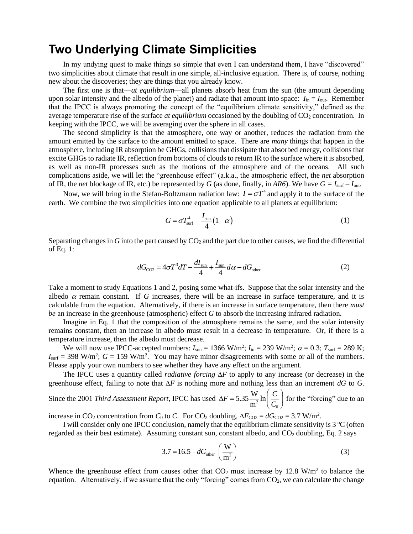## **Two Underlying Climate Simplicities**

In my undying quest to make things so simple that even I can understand them, I have "discovered" two simplicities about climate that result in one simple, all-inclusive equation. There is, of course, nothing new about the discoveries; they are things that you already know.

The first one is that—*at equilibrium*—all planets absorb heat from the sun (the amount depending upon solar intensity and the albedo of the planet) and radiate that amount into space:  $I_{in} = I_{out}$ . Remember that the IPCC is always promoting the concept of the "equilibrium climate sensitivity," defined as the average temperature rise of the surface *at equilibrium* occasioned by the doubling of  $CO<sub>2</sub>$  concentration. In keeping with the IPCC, we will be averaging over the sphere in all cases.

The second simplicity is that the atmosphere, one way or another, reduces the radiation from the amount emitted by the surface to the amount emitted to space. There are *many* things that happen in the atmosphere, including IR absorption be GHGs, collisions that dissipate that absorbed energy, collisions that excite GHGs to radiate IR, reflection from bottoms of clouds to return IR to the surface where it is absorbed, as well as non-IR processes such as the motions of the atmosphere and of the oceans. All such complications aside, we will let the "greenhouse effect" (a.k.a., the atmospheric effect, the *net* absorption of IR, the *net* blockage of IR, etc.) be represented by *G* (as done, finally, in *AR6*). We have  $G = I_{\text{surf}} - I_{\text{out}}$ .

Now, we will bring in the Stefan-Boltzmann radiation law:  $I = \sigma T^4$  and apply it to the surface of the earth. We combine the two simplicities into one equation applicable to all planets at equilibrium:

$$
G = \sigma T_{\text{surf}}^4 - \frac{I_{\text{sun}}}{4} (1 - \alpha) \tag{1}
$$

Separating changes in  $G$  into the part caused by  $CO<sub>2</sub>$  and the part due to other causes, we find the differential of Eq. 1:

$$
dG_{\text{CO2}} = 4\sigma T^3 dT - \frac{dI_{\text{sun}}}{4} + \frac{I_{\text{sun}}}{4} d\alpha - dG_{\text{other}}
$$
 (2)

Take a moment to study Equations 1 and 2, posing some what-ifs. Suppose that the solar intensity and the albedo  $\alpha$  remain constant. If *G* increases, there will be an increase in surface temperature, and it is calculable from the equation. Alternatively, if there is an increase in surface temperature, then there *must be* an increase in the greenhouse (atmospheric) effect *G* to absorb the increasing infrared radiation.

Imagine in Eq. 1 that the composition of the atmosphere remains the same, and the solar intensity remains constant, then an increase in albedo must result in a decrease in temperature. Or, if there is a temperature increase, then the albedo must decrease.

We will now use IPCC-accepted numbers:  $I_{sun} = 1366 \text{ W/m}^2$ ;  $I_{in} = 239 \text{ W/m}^2$ ;  $\alpha = 0.3$ ;  $T_{surf} = 289 \text{ K}$ ;  $I_{\text{surf}} = 398 \text{ W/m}^2$ ;  $G = 159 \text{ W/m}^2$ . You may have minor disagreements with some or all of the numbers. Please apply your own numbers to see whether they have any effect on the argument.

The IPCC uses a quantity called *radiative forcing*  $\Delta F$  to apply to any increase (or decrease) in the greenhouse effect, failing to note that  $\Delta F$  is nothing more and nothing less than an increment *dG* to *G*.

Since the 2001 *Third Assessment Report*, IPCC has used  $\Delta F = 5.35 \frac{\text{m}}{\text{m}^2} \ln \left( \frac{C}{C_0} \right)$  $5.35 \frac{\text{W}}{\text{s}}$ ln m  $F = 5.35 \frac{\text{W}}{\text{m}} \ln \left| \frac{C}{C} \right|$  $\Delta F = 5.35 \frac{\text{W}}{\text{m}^2} \ln \left( \frac{C}{C_0} \right)$ for the "forcing" due to an

increase in CO<sub>2</sub> concentration from *C*<sub>0</sub> to *C*. For CO<sub>2</sub> doubling,  $\Delta F_{CO2} = dG_{CO2} = 3.7$  W/m<sup>2</sup>.

I will consider only one IPCC conclusion, namely that the equilibrium climate sensitivity is 3 ºC (often regarded as their best estimate). Assuming constant sun, constant albedo, and CO<sub>2</sub> doubling, Eq. 2 says

$$
3.7 = 16.5 - dGother \left(\frac{W}{m^2}\right)
$$
 (3)

Whence the greenhouse effect from causes other that  $CO<sub>2</sub>$  must increase by 12.8 W/m<sup>2</sup> to balance the equation. Alternatively, if we assume that the only "forcing" comes from  $CO<sub>2</sub>$ , we can calculate the change